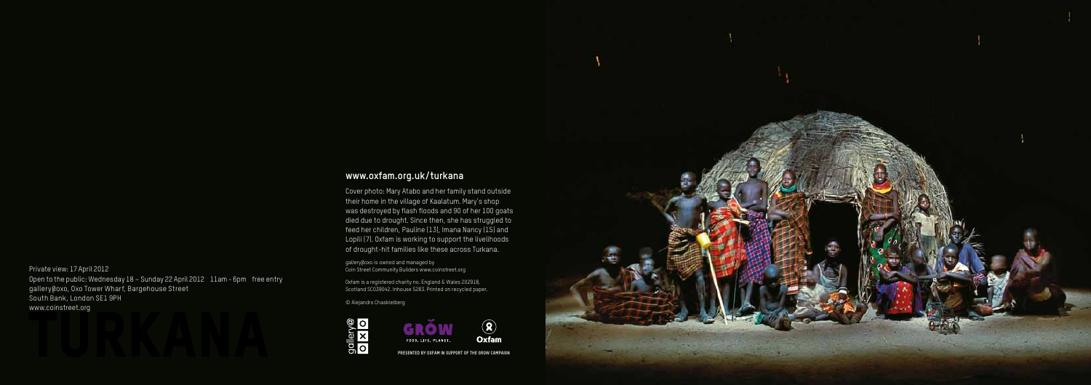# **www.oxfam.org.uk/turkana**

Cover photo: Mary Atabo and her family stand outside their home in the village of Kaalatum. Mary's shop was destroyed by flash floods and 90 of her 100 goats died due to drought. Since then, she has struggled to feed her children, Pauline (13), Imana Nancy (15) and Lopili (7). Oxfam is working to support the livelihoods of drought-hit families like these across Turkana.

gallery@oxo is owned and managed by Coin Street Community Builders www.coinstreet.org

Oxfam is a registered charity no. England & Wales 202918, Scotland SC039042. Inhouse 5283. Printed on recycled paper.

© Alejandro Chaskielberg







Private view: 17 April 2012 Open to the public: Wednesday 18 – Sunday 22 April 2012 11am - 6pm free entry gallery@oxo, Oxo Tower Wharf, Bargehouse Street South Bank, London SE1 9PH www.coinstreet.org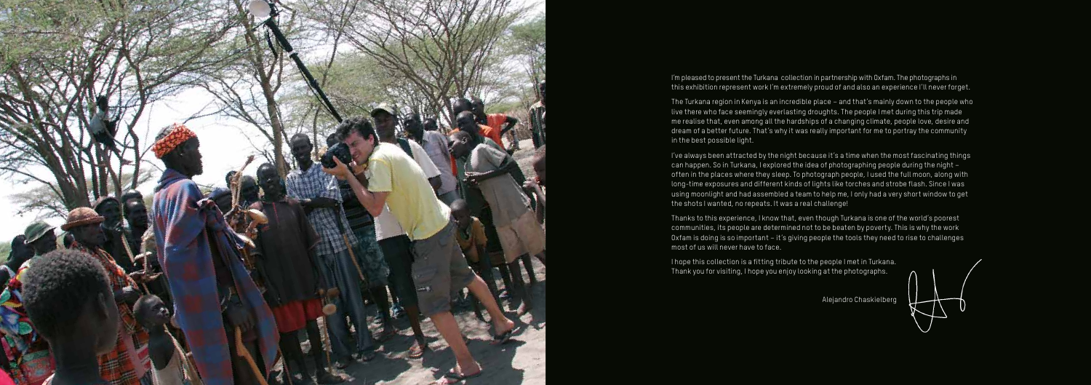

I'm pleased to present the Turkana collection in partnership with Oxfam. The photographs in this exhibition represent work I'm extremely proud of and also an experience I'll never forget.

The Turkana region in Kenya is an incredible place – and that's mainly down to the people who live there who face seemingly everlasting droughts. The people I met during this trip made me realise that, even among all the hardships of a changing climate, people love, desire and dream of a better future. That's why it was really important for me to portray the community in the best possible light.

I've always been attracted by the night because it's a time when the most fascinating things can happen. So in Turkana, I explored the idea of photographing people during the night – often in the places where they sleep. To photograph people, I used the full moon, along with long-time exposures and different kinds of lights like torches and strobe flash. Since I was using moonlight and had assembled a team to help me, I only had a very short window to get the shots I wanted, no repeats. It was a real challenge!

Thanks to this experience, I know that, even though Turkana is one of the world's poorest communities, its people are determined not to be beaten by poverty. This is why the work Oxfam is doing is so important – it's giving people the tools they need to rise to challenges most of us will never have to face.

I hope this collection is a fitting tribute to the people I met in Turkana. Thank you for visiting, I hope you enjoy looking at the photographs.



Alejandro Chaskielberg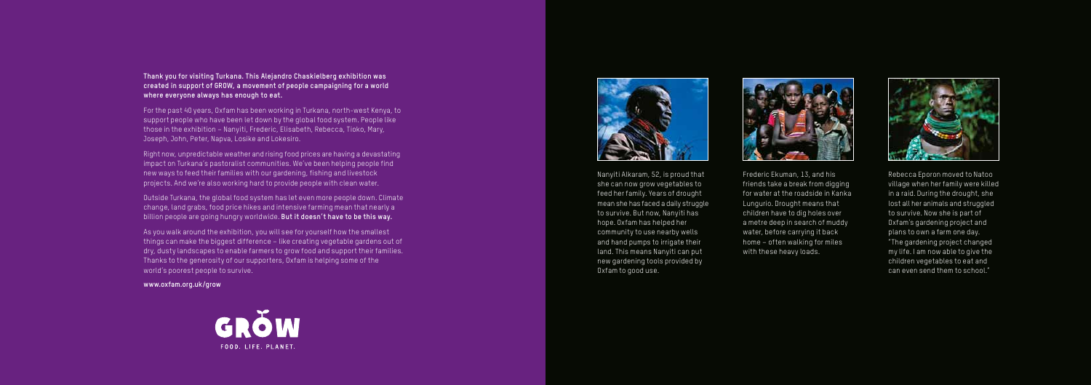Rebecca Eporon moved to Natoo village when her family were killed in a raid. During the drought, she lost all her animals and struggled to survive. Now she is part of Oxfam's gardening project and plans to own a farm one day. "The gardening project changed my life. I am now able to give the children vegetables to eat and can even send them to school."

Nanyiti Alkaram, 52, is proud that she can now grow vegetables to feed her family. Years of drought mean she has faced a daily struggle to survive. But now, Nanyiti has hope. Oxfam has helped her community to use nearby wells and hand pumps to irrigate their land. This means Nanyiti can put new gardening tools provided by Oxfam to good use.



Frederic Ekuman, 13, and his friends take a break from digging for water at the roadside in Kanka Lungurio. Drought means that children have to dig holes over a metre deep in search of muddy water, before carrying it back home – often walking for miles with these heavy loads.



### **Thank you for visiting Turkana. This Alejandro Chaskielberg exhibition was created in support of G ROW, a movement of people campaigning for a world where everyone always has enough to eat.**

For the past 40 years, Oxfam has been working in Turkana, north-west Kenya, to support people who have been let down by the global food system. People like those in the exhibition – Nanyiti, Frederic, Elisabeth, Rebecca, Tioko, Mary, Joseph, John, Peter, Napva, Losike and Lokesiro.

Right now, unpredictable weather and rising food prices are having a devastating impact on Turkana's pastoralist communities. We've been helping people find new ways to feed their families with our gardening, fishing and livestock projects. And we're also working hard to provide people with clean water.

Outside Turkana, the global food system has let even more people down. Climate change, land grabs, food price hikes and intensive farming mean that nearly a billion people are going hungry worldwide. **But it doesn't have to be this way.**

As you walk around the exhibition, you will see for yourself how the smallest things can make the biggest difference – like creating vegetable gardens out of dry, dusty landscapes to enable farmers to grow food and support their families. Thanks to the generosity of our supporters, Oxfam is helping some of the world's poorest people to survive.

#### **www.oxfam.org.uk/grow**



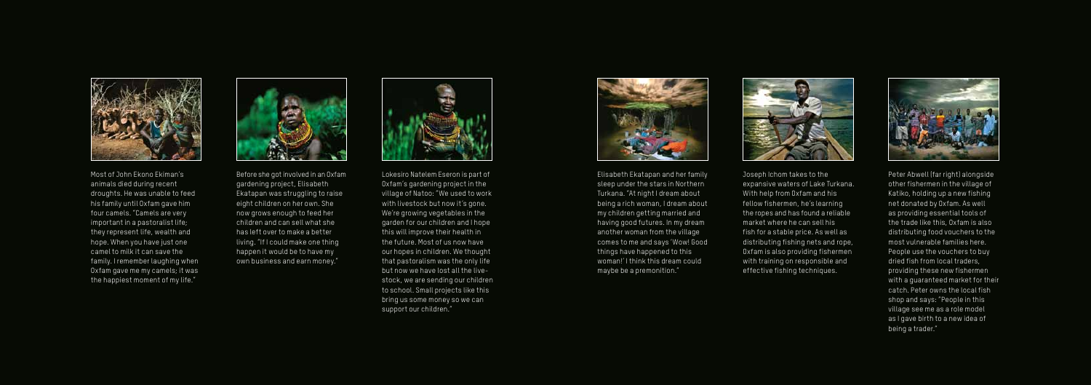Peter Abwell (far right) alongside other fishermen in the village of Katiko, holding up a new fishing net donated by Oxfam. As well as providing essential tools of the trade like this, Oxfam is also distributing food vouchers to the most vulnerable families here. People use the vouchers to buy dried fish from local traders, providing these new fishermen with a guaranteed market for their catch. Peter owns the local fish shop and says: "People in this village see me as a role model as I gave birth to a new idea of being a trader."

Elisabeth Ekatapan and her family sleep under the stars in Northern Turkana. "At night I dream about being a rich woman, I dream about my children getting married and having good futures. In my dream another woman from the village comes to me and says 'Wow! Good things have happened to this woman!' I think this dream could maybe be a premonition."



Joseph Ichom takes to the expansive waters of Lake Turkana. With help from Oxfam and his fellow fishermen, he's learning the ropes and has found a reliable market where he can sell his fish for a stable price. As well as distributing fishing nets and rope, Oxfam is also providing fishermen with training on responsible and effective fishing techniques.





Before she got involved in an Oxfam gardening project, Elisabeth Ekatapan was struggling to raise eight children on her own. She now grows enough to feed her children and can sell what she has left over to make a better living. "If I could make one thing happen it would be to have my own business and earn money."





Most of John Ekono Ekiman's animals died during recent droughts. He was unable to feed his family until Oxfam gave him four camels. "Camels are very important in a pastoralist life; they represent life, wealth and hope. When you have just one camel to milk it can save the family. I remember laughing when Oxfam gave me my camels; it was the happiest moment of my life."



Lokesiro Natelem Eseron is part of Oxfam's gardening project in the village of Natoo: "We used to work with livestock but now it's gone. We're growing vegetables in the garden for our children and I hope this will improve their health in the future. Most of us now have our hopes in children. We thought that pastoralism was the only life but now we have lost all the live stock, we are sending our children to school. Small projects like this bring us some money so we can support our children."

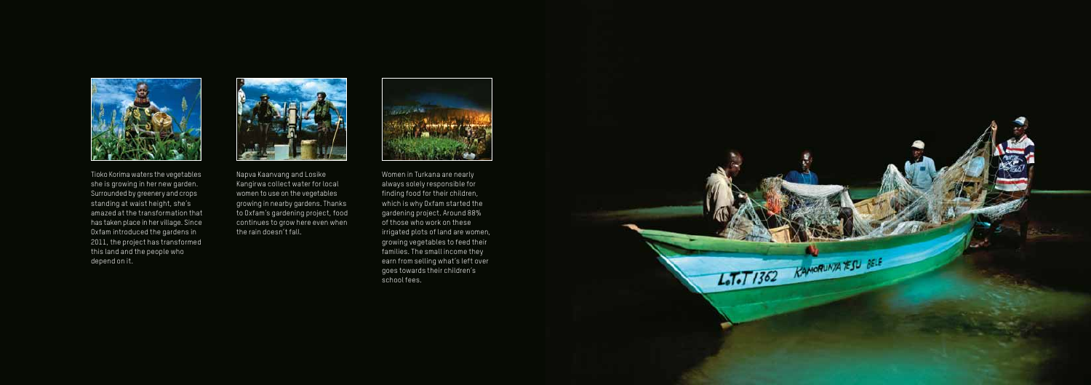Napva Kaanvang and Losike Kangirwa collect water for local women to use on the vegetables growing in nearby gardens. Thanks to Oxfam's gardening project, food continues to grow here even when the rain doesn't fall.





Tioko Korima waters the vegetables she is growing in her new garden. Surrounded by greenery and crops standing at waist height, she's amazed at the transformation that has taken place in her village. Since Oxfam introduced the gardens in 2011, the project has transformed this land and the people who depend on it.



Women in Turkana are nearly always solely responsible for finding food for their children, which is why Oxfam started the gardening project. Around 88% of those who work on these irrigated plots of land are women, growing vegetables to feed their families. The small income they earn from selling what's left over goes towards their children's school fees.